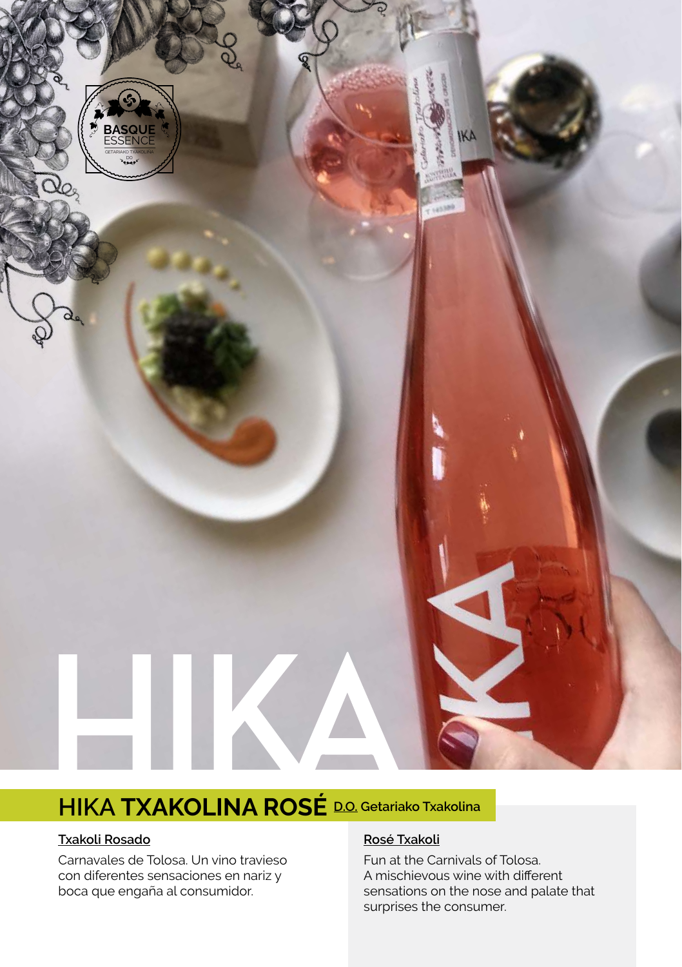

# **HIKA TXAKOLINA ROSÉ D.O. Getariako Txakolina**

#### **Txakoli Rosado**

Carnavales de Tolosa. Un vino travieso con diferentes sensaciones en nariz y boca que engaña al consumidor.

#### **Rosé Txakoli**

Fun at the Carnivals of Tolosa. A mischievous wine with different sensations on the nose and palate that surprises the consumer.